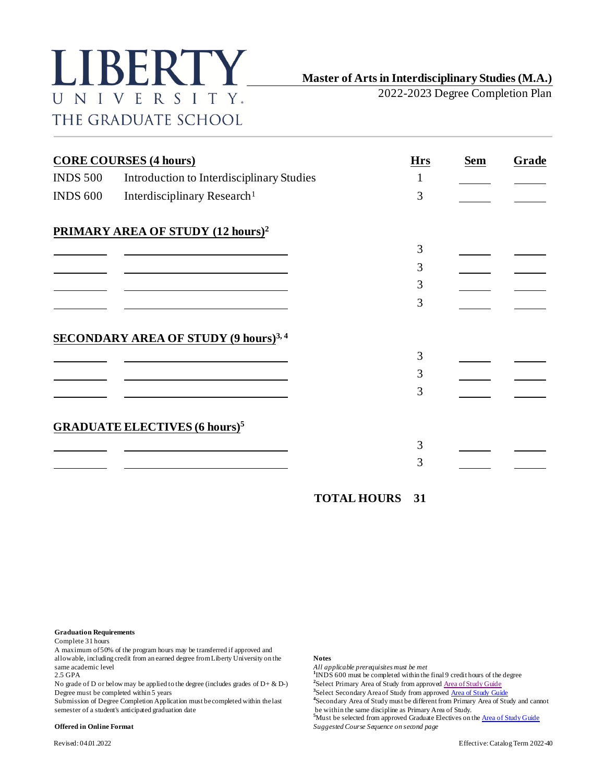

**Master of Arts in Interdisciplinary Studies (M.A.)**

2022-2023 Degree Completion Plan

|                 | <b>CORE COURSES (4 hours)</b>                   | <b>Hrs</b> | <b>Sem</b> | Grade |
|-----------------|-------------------------------------------------|------------|------------|-------|
| <b>INDS 500</b> | Introduction to Interdisciplinary Studies       | 1          |            |       |
| <b>INDS 600</b> | Interdisciplinary Research <sup>1</sup>         | 3          |            |       |
|                 | PRIMARY AREA OF STUDY (12 hours) <sup>2</sup>   |            |            |       |
|                 |                                                 | 3          |            |       |
|                 |                                                 | 3          |            |       |
|                 |                                                 | 3          |            |       |
|                 |                                                 | 3          |            |       |
|                 | <b>SECONDARY AREA OF STUDY (9 hours)</b> 3,4    |            |            |       |
|                 |                                                 | 3          |            |       |
|                 |                                                 | 3          |            |       |
|                 |                                                 | 3          |            |       |
|                 | <b>GRADUATE ELECTIVES (6 hours)<sup>5</sup></b> |            |            |       |
|                 |                                                 | 3          |            |       |
|                 |                                                 | 3          |            |       |
|                 |                                                 |            |            |       |

**TOTAL HOURS 31**

**Graduation Requirements**

Complete 31 hours

A maximum of 50% of the program hours may be transferred if approved and allowable, including credit from an earned degree from Liberty University on the **Notes** same academic level *All applicable prerequisites must be met*  $\frac{1}{2.5}$  GPA *All applicable prerequisites must be met* 2.5 GPA **<sup>1</sup>**

No grade of D or below may be applied to the degree (includes grades of D+ & D-) Degree must be completed within 5 years **<sup>3</sup>**

Submission of Degree Completion Application must be completed within the last semester of a student's anticipated graduation date

 $1$ INDS 600 must be completed within the final 9 credit hours of the degree

<sup>2</sup> Select Primary Area of Study from approv[ed Area of Study Guide](https://catalog.liberty.edu/graduate/colleges-schools/arts-sciences/interdisciplinary-studies-ma/#areasofstudytext)

<sup>3</sup>Select Secondary Area of Study from approve[d Area of Study Guide](https://catalog.liberty.edu/graduate/colleges-schools/arts-sciences/interdisciplinary-studies-ma/#areasofstudytext)

Secondary Area of Study must be different from Primary Area of Study and cannot be within the same discipline as Primary Area of Study.

<sup>5</sup>Must be selected from approved Graduate Electives on the **Area of Study Guide Offered in Online Format** *Suggested Course Sequence on second page*